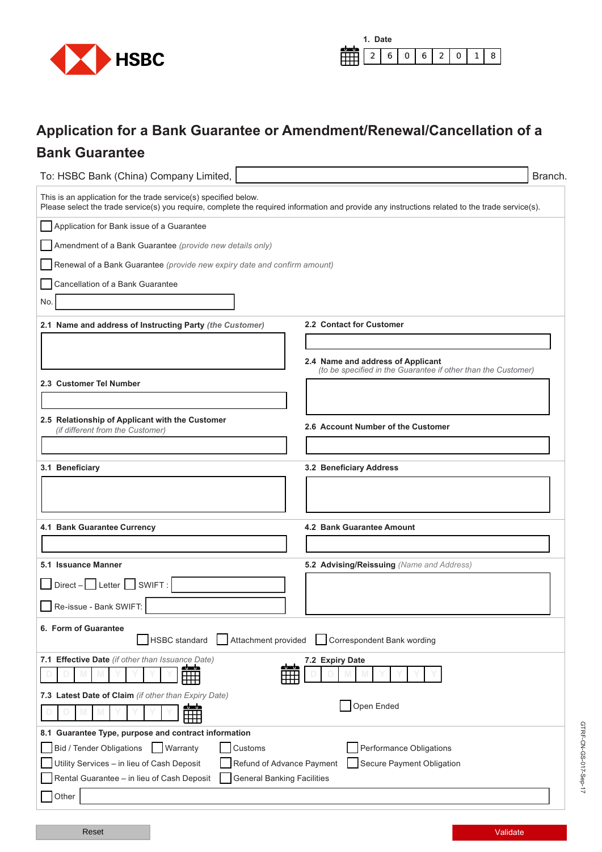



## **Application for a Bank Guarantee or Amendment/Renewal/Cancellation of a Bank Guarantee**

| To: HSBC Bank (China) Company Limited,                                                                                                                                                                              | Branch.                                                                                            |  |  |  |
|---------------------------------------------------------------------------------------------------------------------------------------------------------------------------------------------------------------------|----------------------------------------------------------------------------------------------------|--|--|--|
| This is an application for the trade service(s) specified below.<br>Please select the trade service(s) you require, complete the required information and provide any instructions related to the trade service(s). |                                                                                                    |  |  |  |
| Application for Bank issue of a Guarantee                                                                                                                                                                           |                                                                                                    |  |  |  |
| Amendment of a Bank Guarantee (provide new details only)                                                                                                                                                            |                                                                                                    |  |  |  |
| Renewal of a Bank Guarantee (provide new expiry date and confirm amount)                                                                                                                                            |                                                                                                    |  |  |  |
| Cancellation of a Bank Guarantee                                                                                                                                                                                    |                                                                                                    |  |  |  |
| No.                                                                                                                                                                                                                 |                                                                                                    |  |  |  |
| 2.1 Name and address of Instructing Party (the Customer)                                                                                                                                                            | 2.2 Contact for Customer                                                                           |  |  |  |
|                                                                                                                                                                                                                     |                                                                                                    |  |  |  |
|                                                                                                                                                                                                                     | 2.4 Name and address of Applicant<br>(to be specified in the Guarantee if other than the Customer) |  |  |  |
| 2.3 Customer Tel Number                                                                                                                                                                                             |                                                                                                    |  |  |  |
|                                                                                                                                                                                                                     |                                                                                                    |  |  |  |
| 2.5 Relationship of Applicant with the Customer<br>(if different from the Customer)                                                                                                                                 | 2.6 Account Number of the Customer                                                                 |  |  |  |
|                                                                                                                                                                                                                     |                                                                                                    |  |  |  |
| 3.1 Beneficiary                                                                                                                                                                                                     | 3.2 Beneficiary Address                                                                            |  |  |  |
|                                                                                                                                                                                                                     |                                                                                                    |  |  |  |
|                                                                                                                                                                                                                     |                                                                                                    |  |  |  |
|                                                                                                                                                                                                                     | 4.2 Bank Guarantee Amount                                                                          |  |  |  |
| 4.1 Bank Guarantee Currency                                                                                                                                                                                         |                                                                                                    |  |  |  |
|                                                                                                                                                                                                                     |                                                                                                    |  |  |  |
| 5.1 Issuance Manner                                                                                                                                                                                                 | 5.2 Advising/Reissuing (Name and Address)                                                          |  |  |  |
| Direct $-$ Letter $\Box$ SWIFT :                                                                                                                                                                                    |                                                                                                    |  |  |  |
| Re-issue - Bank SWIFT:                                                                                                                                                                                              |                                                                                                    |  |  |  |
| 6. Form of Guarantee                                                                                                                                                                                                |                                                                                                    |  |  |  |
| Attachment provided<br><b>HSBC</b> standard                                                                                                                                                                         | Correspondent Bank wording                                                                         |  |  |  |
| 7.1 Effective Date (if other than Issuance Date)<br>ماساء<br>محم                                                                                                                                                    | 7.2 Expiry Date                                                                                    |  |  |  |
| ⊞                                                                                                                                                                                                                   |                                                                                                    |  |  |  |
| 7.3 Latest Date of Claim (if other than Expiry Date)<br><u>atuatu</u>                                                                                                                                               | Open Ended                                                                                         |  |  |  |
| ₩                                                                                                                                                                                                                   |                                                                                                    |  |  |  |
| 8.1 Guarantee Type, purpose and contract information<br>Warranty                                                                                                                                                    |                                                                                                    |  |  |  |
| <b>Bid / Tender Obligations</b><br>Customs<br>Performance Obligations<br>Utility Services - in lieu of Cash Deposit<br>Refund of Advance Payment<br>Secure Payment Obligation                                       |                                                                                                    |  |  |  |
| Rental Guarantee - in lieu of Cash Deposit<br><b>General Banking Facilities</b>                                                                                                                                     |                                                                                                    |  |  |  |
| Other                                                                                                                                                                                                               |                                                                                                    |  |  |  |

GI<br>HT S -GS-017-Sep-17